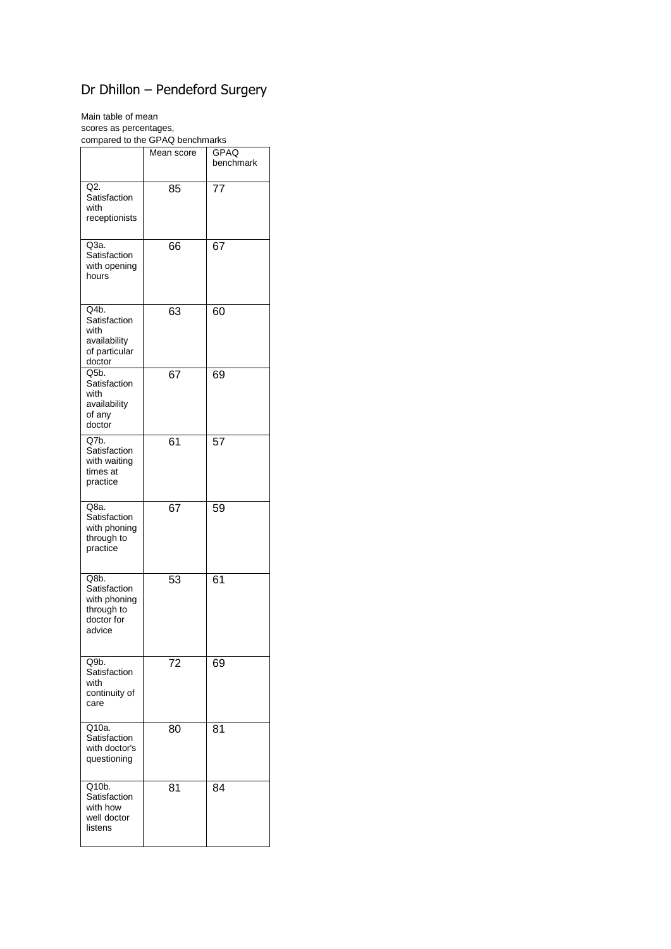## Dr Dhillon – Pendeford Surgery

Main table of mean

scores as percentages, compared to the GPAQ benchmarks

|                                                                            | Mean score | <b>GPAQ</b><br>benchmark |
|----------------------------------------------------------------------------|------------|--------------------------|
| Q2.<br>Satisfaction<br>with<br>receptionists                               | 85         | $7\overline{7}$          |
| Q3a.<br>Satisfaction<br>with opening<br>hours                              | 66         | 67                       |
| Q4b.<br>Satisfaction<br>with<br>availability<br>of particular<br>doctor    | 63         | 60                       |
| Q5b.<br>Satisfaction<br>with<br>availability<br>of any<br>doctor           | 67         | 69                       |
| Q7b.<br>Satisfaction<br>with waiting<br>times at<br>practice               | 61         | 57                       |
| Q8a.<br>Satisfaction<br>with phoning<br>through to<br>practice             | 67         | 59                       |
| Q8b.<br>Satisfaction<br>with phoning<br>through to<br>doctor for<br>advice | 53         | 61                       |
| Q9b.<br>Satisfaction<br>with<br>continuity of<br>care                      | 72         | 69                       |
| Q10a.<br>Satisfaction<br>with doctor's<br>questioning                      | 80         | 81                       |
| Q10b.<br>Satisfaction<br>with how<br>well doctor<br>listens                | 81         | 84                       |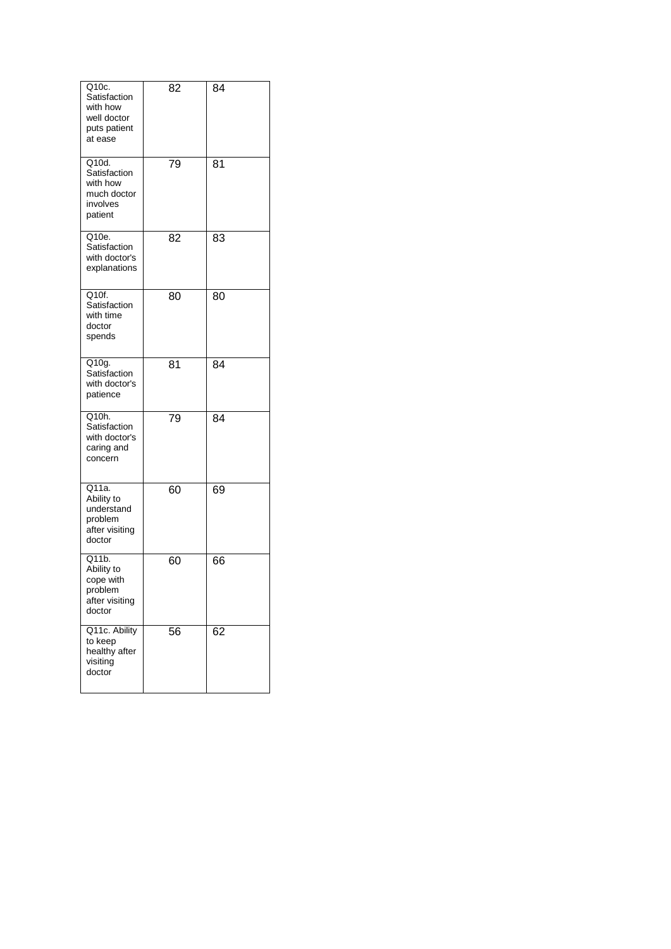| Q10c.<br>Satisfaction<br>with how<br>well doctor<br>puts patient<br>at ease | 82 | 84 |
|-----------------------------------------------------------------------------|----|----|
| Q10d.<br>Satisfaction<br>with how<br>much doctor<br>involves<br>patient     | 79 | 81 |
| Q10e.<br>Satisfaction<br>with doctor's<br>explanations                      | 82 | 83 |
| Q10f.<br>Satisfaction<br>with time<br>doctor<br>spends                      | 80 | 80 |
| Q10g.<br>Satisfaction<br>with doctor's<br>patience                          | 81 | 84 |
| Q10h.<br>Satisfaction<br>with doctor's<br>caring and<br>concern             | 79 | 84 |
| Q11a.<br>Ability to<br>understand<br>problem<br>after visiting<br>doctor    | 60 | 69 |
| Q11b.<br>Ability to<br>cope with<br>problem<br>after visiting<br>doctor     | 60 | 66 |
| Q11c. Ability<br>to keep<br>healthy after<br>visiting<br>doctor             | 56 | 62 |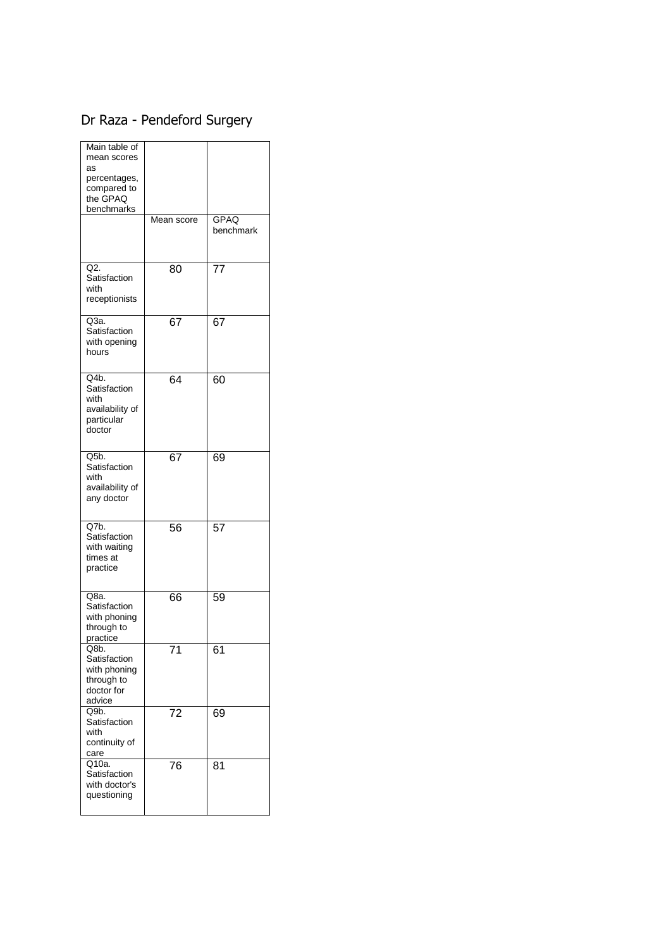## Dr Raza - Pendeford Surgery

| Main table of<br>mean scores<br>as<br>percentages,<br>compared to<br>the GPAQ<br>benchmarks |            |                   |
|---------------------------------------------------------------------------------------------|------------|-------------------|
|                                                                                             | Mean score | GPAQ<br>benchmark |
| Q2.<br>Satisfaction<br>with<br>receptionists                                                | 80         | 77                |
| Q3a.<br>Satisfaction<br>with opening<br>hours                                               | 67         | 67                |
| Q4b.<br>Satisfaction<br>with<br>availability of<br>particular<br>doctor                     | 64         | 60                |
| $Q5b$ .<br>Satisfaction<br>with<br>availability of<br>any doctor                            | 67         | 69                |
| Q7b.<br>Satisfaction<br>with waiting<br>times at<br>practice                                | 56         | 57                |
| Q8a.<br>Satisfaction<br>with phoning<br>through to<br>practice                              | 66         | 59                |
| Q8D.<br>Satisfaction<br>with phoning<br>through to<br>doctor for<br>advice                  | 71         | 61                |
| Q9b.<br>Satisfaction<br>with<br>continuity of<br>care                                       | 72         | 69                |
| Q10a.<br>Satisfaction<br>with doctor's<br>questioning                                       | 76         | 81                |